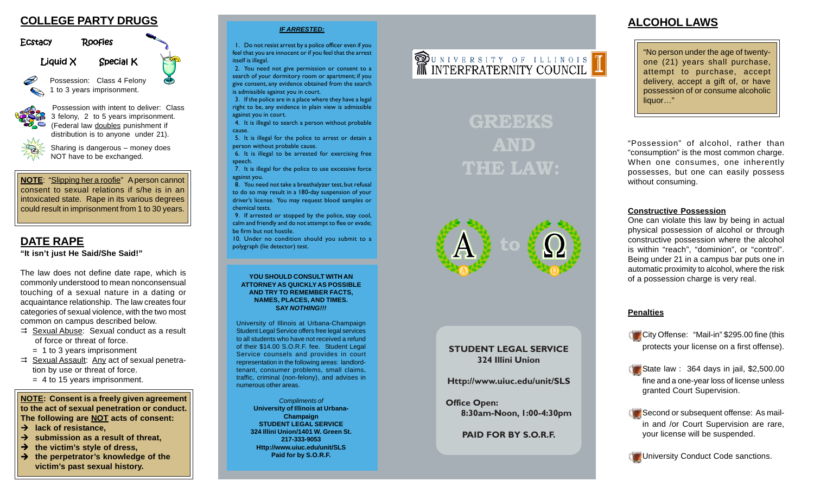

### Ecstacy Roofies

 $L$ iquid  $X$  Special K

Possession: Class 4 Felony 1 to 3 years imprisonment.



Possession with intent to deliver: Class 3 felony, 2 to 5 years imprisonment. (Federal law doubles punishment if distribution is to anyone under 21).

Sharing is dangerous – money does NOT have to be exchanged.

**NOTE**: "Slipping her a roofie" A person cannot consent to sexual relations if s/he is in an intoxicated state. Rape in its various degrees could result in imprisonment from 1 to 30 years.

# **"It isn't just He Said/She Said!"**

The law does not define date rape, which is commonly understood to mean nonconsensual touching of a sexual nature in a dating or acquaintance relationship. The law creates four categories of sexual violence, with the two most common on campus described below.

- $\Rightarrow$  Sexual Abuse: Sexual conduct as a result of force or threat of force.
	- = 1 to 3 years imprisonment
- $\Rightarrow$  Sexual Assault: Any act of sexual penetration by use or threat of force.
	- $=$  4 to 15 years imprisonment.

**NOTE: Consent is a freely given agreement to the act of sexual penetration or conduct. The following are NOT acts of consent:**

- $→$  lack of resistance.
- $→$  submission as a result of threat.
- → the victim's style of dress,
- $→$  the perpetrator's knowledge of the **victim's past sexual history.**

#### *IF ARRESTED:*

1. Do not resist arrest by a police officer even if you feel that you are innocent or if you feel that the arrest itself is illegal.

2. You need not give permission or consent to a search of your dormitory room or apartment; if you give consent, any evidence obtained from the search is admissible against you in court.

3. If the police are in a place where they have a legal right to be, any evidence in plain view is admissible against you in court.

4. It is illegal to search a person without probable cause.

5. It is illegal for the police to arrest or detain a person without probable cause.

6. It is illegal to be arrested for exercising free speech.

7. It is illegal for the police to use excessive force against you.

8. You need not take a breathalyzer test, but refusal to do so may result in a 180-day suspension of your driver's license. You may request blood samples or chemical tests.

9. If arrested or stopped by the police, stay cool, calm and friendly and do not attempt to flee or evade; be firm but not hostile.

**DATE RAPE 10.** Under no condition should you submit to a polygraph (lie detector) test.

> **YOU SHOULD CONSULT WITH AN ATTORNEY AS QUICKLY AS POSSIBLE AND TRY TO REMEMBER FACTS, NAMES, PLACES, AND TIMES. SAY** *NOTHING!!!*

University of Illinois at Urbana-Champaign Student Legal Service offers free legal services to all students who have not received a refund of their \$14.00 S.O.R.F. fee. Student Legal Service counsels and provides in court representation in the following areas: landlordtenant, consumer problems, small claims, traffic, criminal (non-felony), and advises in numerous other areas.

> *Compliments of* **University of Illinois at Urbana-Champaign STUDENT LEGAL SERVICE 324 Illini Union/1401 W. Green St. 217-333-9053 Http://www.uiuc.edu/unit/SLS Paid for by S.O.R.F.**

# **OF UNIVERSITY OF ILLINOIS**

# **GREEKS AND THE LAW:**



#### **STUDENT LEGAL SERVICE 324 Illini Union**

**Http://www.uiuc.edu/unit/SLS**

**Office Open: 8:30am-Noon, 1:00-4:30pm**

**PAID FOR BY S.O.R.F.**

## **ALCOHOL LAWS**

"No person under the age of twentyone (21) years shall purchase, attempt to purchase, accept delivery, accept a gift of, or have possession of or consume alcoholic liquor…"

"Possession" of alcohol, rather than "consumption" is the most common charge. When one consumes, one inherently possesses, but one can easily possess without consuming.

#### **Constructive Possession**

One can violate this law by being in actual physical possession of alcohol or through constructive possession where the alcohol is within "reach", "dominion", or "control". Being under 21 in a campus bar puts one in automatic proximity to alcohol, where the risk of a possession charge is very real.

#### **Penalties**

**City Offense: "Mail-in" \$295.00 fine (this** protects your license on a first offense).

State law : 364 days in jail,  $$2,500.00$ fine and a one-year loss of license unless granted Court Supervision.

Second or subsequent offense: As mailin and /or Court Supervision are rare, your license will be suspended.

**University Conduct Code sanctions.**